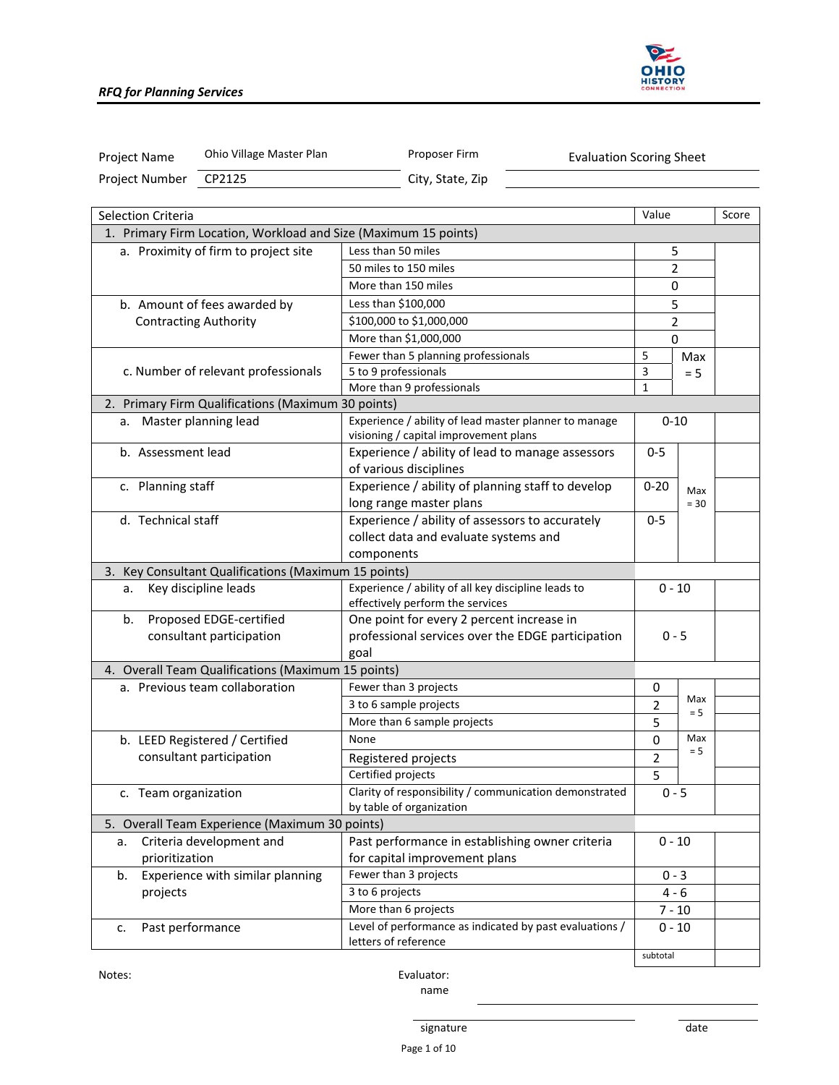

| Project Name         | Ohio Village Master Plan                                        | Proposer Firm<br><b>Evaluation Scoring Sheet</b>                                               |                |        |  |
|----------------------|-----------------------------------------------------------------|------------------------------------------------------------------------------------------------|----------------|--------|--|
| Project Number       | CP2125                                                          | City, State, Zip                                                                               |                |        |  |
|                      |                                                                 |                                                                                                |                |        |  |
| Selection Criteria   |                                                                 |                                                                                                | Value          | Score  |  |
|                      | 1. Primary Firm Location, Workload and Size (Maximum 15 points) |                                                                                                |                |        |  |
|                      | a. Proximity of firm to project site                            | Less than 50 miles                                                                             | 5              |        |  |
|                      |                                                                 | 50 miles to 150 miles                                                                          | 2              |        |  |
|                      |                                                                 | More than 150 miles                                                                            | 0              |        |  |
|                      | b. Amount of fees awarded by                                    | Less than \$100,000                                                                            | 5              |        |  |
|                      | <b>Contracting Authority</b>                                    | \$100,000 to \$1,000,000                                                                       | $\overline{2}$ |        |  |
|                      |                                                                 | More than \$1,000,000                                                                          | $\Omega$       |        |  |
|                      |                                                                 | Fewer than 5 planning professionals                                                            | 5              | Max    |  |
|                      | c. Number of relevant professionals                             | 5 to 9 professionals                                                                           | 3              | $= 5$  |  |
|                      |                                                                 | More than 9 professionals                                                                      | $\mathbf{1}$   |        |  |
|                      | 2. Primary Firm Qualifications (Maximum 30 points)              |                                                                                                |                |        |  |
| а.                   | Master planning lead                                            | Experience / ability of lead master planner to manage<br>visioning / capital improvement plans | $0 - 10$       |        |  |
| b. Assessment lead   |                                                                 | Experience / ability of lead to manage assessors                                               | $0 - 5$        |        |  |
|                      |                                                                 | of various disciplines                                                                         |                |        |  |
| c. Planning staff    |                                                                 | Experience / ability of planning staff to develop                                              | $0 - 20$       | Max    |  |
|                      |                                                                 | long range master plans                                                                        |                | $= 30$ |  |
| d. Technical staff   |                                                                 | Experience / ability of assessors to accurately                                                | $0 - 5$        |        |  |
|                      |                                                                 | collect data and evaluate systems and                                                          |                |        |  |
|                      |                                                                 | components                                                                                     |                |        |  |
|                      | 3. Key Consultant Qualifications (Maximum 15 points)            |                                                                                                |                |        |  |
| a.                   | Key discipline leads                                            | Experience / ability of all key discipline leads to                                            | $0 - 10$       |        |  |
|                      |                                                                 | effectively perform the services                                                               |                |        |  |
| b.                   | Proposed EDGE-certified                                         | One point for every 2 percent increase in                                                      |                |        |  |
|                      | consultant participation                                        | professional services over the EDGE participation                                              | $0 - 5$        |        |  |
|                      |                                                                 | goal                                                                                           |                |        |  |
|                      | 4. Overall Team Qualifications (Maximum 15 points)              |                                                                                                |                |        |  |
|                      | a. Previous team collaboration                                  | Fewer than 3 projects                                                                          | 0              |        |  |
|                      |                                                                 | 3 to 6 sample projects                                                                         | $\overline{2}$ | Max    |  |
|                      |                                                                 | More than 6 sample projects                                                                    | 5              | $= 5$  |  |
|                      | b. LEED Registered / Certified                                  | None                                                                                           | 0              | Max    |  |
|                      | consultant participation                                        | Registered projects                                                                            | 2              | $= 5$  |  |
|                      |                                                                 | Certified projects                                                                             | 5              |        |  |
| c. Team organization |                                                                 | Clarity of responsibility / communication demonstrated                                         | $0 - 5$        |        |  |
|                      |                                                                 | by table of organization                                                                       |                |        |  |
|                      | 5. Overall Team Experience (Maximum 30 points)                  |                                                                                                |                |        |  |
| a.                   | Criteria development and                                        | Past performance in establishing owner criteria                                                | $0 - 10$       |        |  |
| prioritization       |                                                                 | for capital improvement plans                                                                  |                |        |  |
| b.                   | Experience with similar planning                                | Fewer than 3 projects                                                                          | $0 - 3$        |        |  |
| projects             |                                                                 | 3 to 6 projects                                                                                | $4 - 6$        |        |  |
|                      |                                                                 | More than 6 projects                                                                           | $7 - 10$       |        |  |

Notes: Evaluator: name

c. Past performance **Level of performance as indicated by past evaluations** /

letters of reference

 $0 - 10$ 

subtotal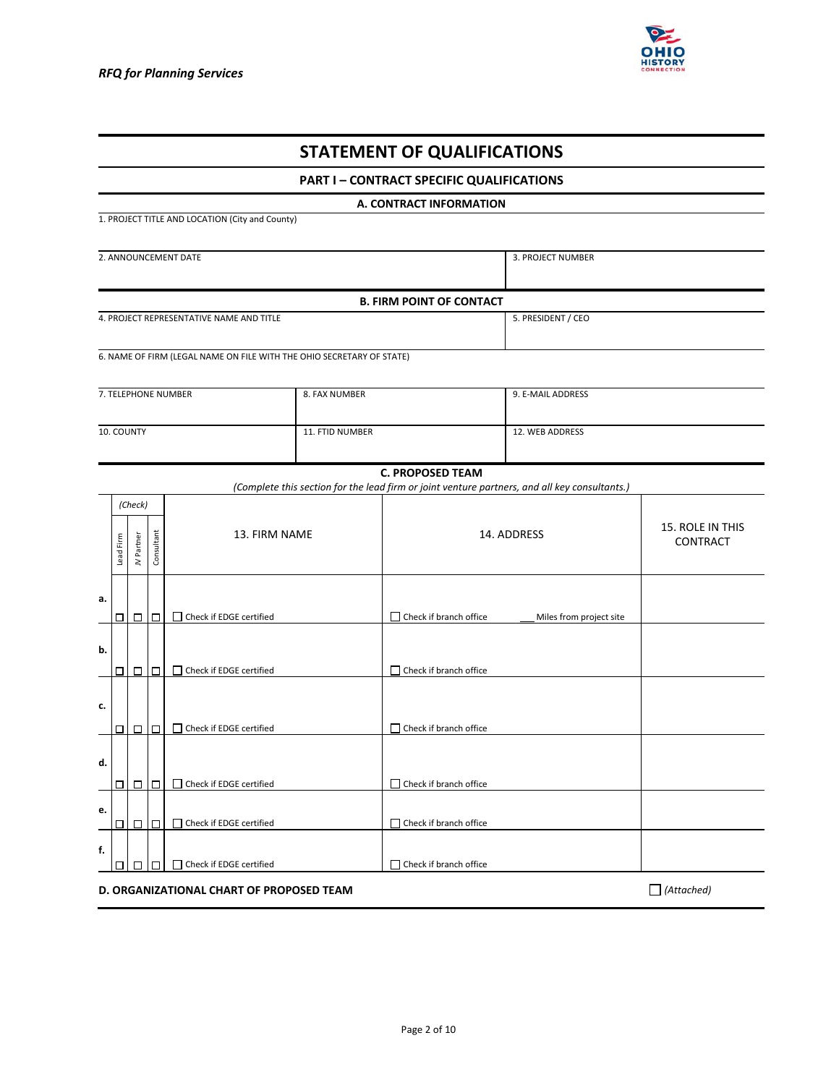

| <b>STATEMENT OF QUALIFICATIONS</b>                                                                       |                                                               |                   |            |                                                                       |                 |                                                  |                              |  |  |  |
|----------------------------------------------------------------------------------------------------------|---------------------------------------------------------------|-------------------|------------|-----------------------------------------------------------------------|-----------------|--------------------------------------------------|------------------------------|--|--|--|
|                                                                                                          |                                                               |                   |            |                                                                       |                 | <b>PART I - CONTRACT SPECIFIC QUALIFICATIONS</b> |                              |  |  |  |
|                                                                                                          | A. CONTRACT INFORMATION                                       |                   |            |                                                                       |                 |                                                  |                              |  |  |  |
|                                                                                                          |                                                               |                   |            | 1. PROJECT TITLE AND LOCATION (City and County)                       |                 |                                                  |                              |  |  |  |
|                                                                                                          | 2. ANNOUNCEMENT DATE<br>3. PROJECT NUMBER                     |                   |            |                                                                       |                 |                                                  |                              |  |  |  |
|                                                                                                          |                                                               |                   |            |                                                                       |                 |                                                  |                              |  |  |  |
|                                                                                                          |                                                               |                   |            |                                                                       |                 | <b>B. FIRM POINT OF CONTACT</b>                  |                              |  |  |  |
|                                                                                                          |                                                               |                   |            | 4. PROJECT REPRESENTATIVE NAME AND TITLE                              |                 |                                                  | 5. PRESIDENT / CEO           |  |  |  |
|                                                                                                          |                                                               |                   |            | 6. NAME OF FIRM (LEGAL NAME ON FILE WITH THE OHIO SECRETARY OF STATE) |                 |                                                  |                              |  |  |  |
|                                                                                                          |                                                               |                   |            |                                                                       |                 |                                                  |                              |  |  |  |
|                                                                                                          |                                                               |                   |            | 7. TELEPHONE NUMBER                                                   | 8. FAX NUMBER   |                                                  | 9. E-MAIL ADDRESS            |  |  |  |
|                                                                                                          |                                                               | 10. COUNTY        |            |                                                                       | 11. FTID NUMBER |                                                  | 12. WEB ADDRESS              |  |  |  |
|                                                                                                          |                                                               |                   |            |                                                                       |                 |                                                  |                              |  |  |  |
| <b>C. PROPOSED TEAM</b>                                                                                  |                                                               |                   |            |                                                                       |                 |                                                  |                              |  |  |  |
| (Complete this section for the lead firm or joint venture partners, and all key consultants.)<br>(Check) |                                                               |                   |            |                                                                       |                 |                                                  |                              |  |  |  |
|                                                                                                          | Lead Firm                                                     | Partner<br>$\geq$ | Consultant | 13. FIRM NAME                                                         |                 | 14. ADDRESS                                      | 15. ROLE IN THIS<br>CONTRACT |  |  |  |
| а.                                                                                                       |                                                               | 000               |            | □ Check if EDGE certified                                             |                 | $\Box$ Check if branch office                    | Miles from project site      |  |  |  |
| b.                                                                                                       |                                                               | 000               |            | $\Box$ Check if EDGE certified                                        |                 | $\Box$ Check if branch office                    |                              |  |  |  |
| c.                                                                                                       |                                                               | 000               |            | □ Check if EDGE certified                                             |                 | □ Check if branch office                         |                              |  |  |  |
| d.                                                                                                       | ◻                                                             | $\Box$            | $\Box$     | $\Box$ Check if EDGE certified                                        |                 | □ Check if branch office                         |                              |  |  |  |
| е.                                                                                                       |                                                               | 000               |            | □ Check if EDGE certified                                             |                 | □ Check if branch office                         |                              |  |  |  |
| f.                                                                                                       | □                                                             |                   | □          | □ Check if EDGE certified                                             |                 | $\Box$ Check if branch office                    |                              |  |  |  |
|                                                                                                          | $\Box$ (Attached)<br>D. ORGANIZATIONAL CHART OF PROPOSED TEAM |                   |            |                                                                       |                 |                                                  |                              |  |  |  |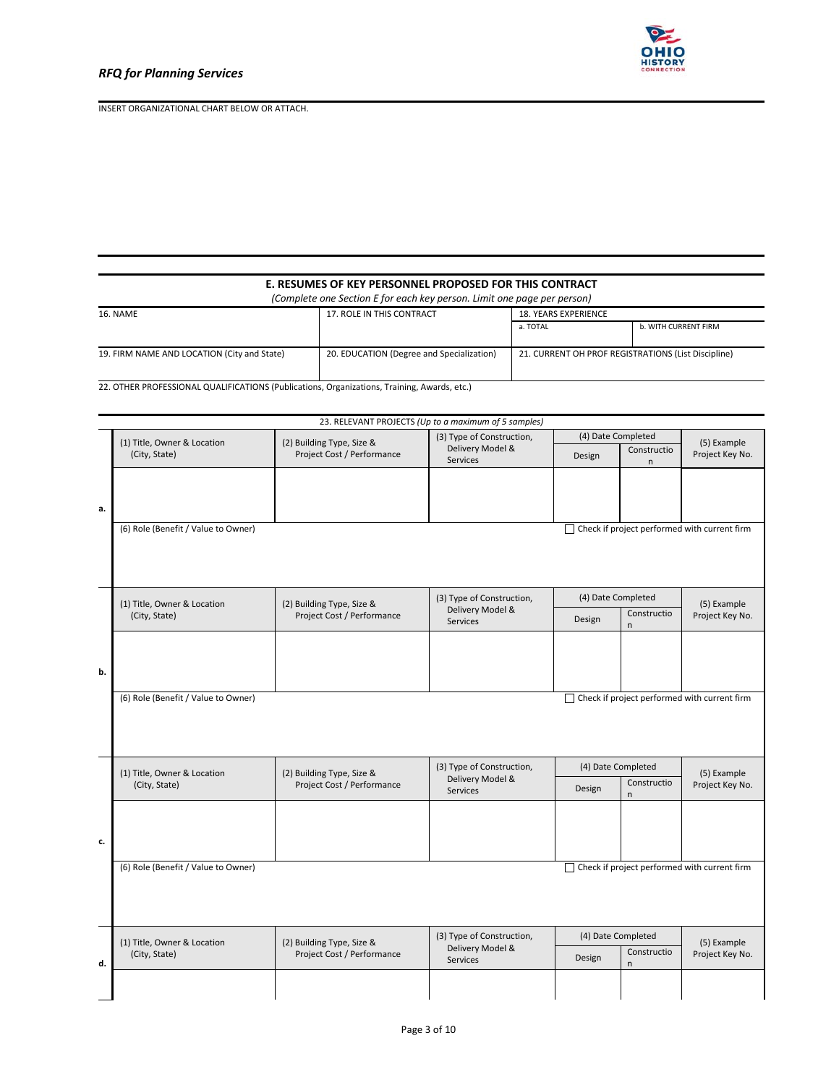



# **E. RESUMES OF KEY PERSONNEL PROPOSED FOR THIS CONTRACT**

*(Complete one Section E for each key person. Limit one page per person)* 

| <b>16. NAME</b>                                                                          | 17. ROLE IN THIS CONTRACT | <b>18. YEARS EXPERIENCE</b>                         |                      |  |  |
|------------------------------------------------------------------------------------------|---------------------------|-----------------------------------------------------|----------------------|--|--|
|                                                                                          |                           |                                                     | b. WITH CURRENT FIRM |  |  |
|                                                                                          |                           |                                                     |                      |  |  |
| 19. FIRM NAME AND LOCATION (City and State)<br>20. EDUCATION (Degree and Specialization) |                           | 21. CURRENT OH PROF REGISTRATIONS (List Discipline) |                      |  |  |
|                                                                                          |                           |                                                     |                      |  |  |

22. OTHER PROFESSIONAL QUALIFICATIONS (Publications, Organizations, Training, Awards, etc.)

|    | 23. RELEVANT PROJECTS (Up to a maximum of 5 samples) |                                                         |                              |                       |                                   |                                                     |  |  |  |
|----|------------------------------------------------------|---------------------------------------------------------|------------------------------|-----------------------|-----------------------------------|-----------------------------------------------------|--|--|--|
|    | (1) Title, Owner & Location                          | (3) Type of Construction,<br>(2) Building Type, Size &  |                              |                       | (4) Date Completed<br>Constructio |                                                     |  |  |  |
|    | (City, State)                                        | Project Cost / Performance                              | Delivery Model &<br>Services | Design                | (5) Example<br>Project Key No.    |                                                     |  |  |  |
|    |                                                      |                                                         |                              |                       | n                                 |                                                     |  |  |  |
|    |                                                      |                                                         |                              |                       |                                   |                                                     |  |  |  |
| a. |                                                      |                                                         |                              |                       |                                   |                                                     |  |  |  |
|    | (6) Role (Benefit / Value to Owner)                  |                                                         |                              |                       |                                   | $\Box$ Check if project performed with current firm |  |  |  |
|    |                                                      |                                                         |                              |                       |                                   |                                                     |  |  |  |
|    |                                                      |                                                         |                              |                       |                                   |                                                     |  |  |  |
|    | (1) Title, Owner & Location                          | (2) Building Type, Size &                               | (3) Type of Construction,    | (4) Date Completed    |                                   | (5) Example                                         |  |  |  |
|    | (City, State)                                        | Project Cost / Performance                              | Delivery Model &<br>Services | Design                | Constructio<br>n                  | Project Key No.                                     |  |  |  |
|    |                                                      |                                                         |                              |                       |                                   |                                                     |  |  |  |
|    |                                                      |                                                         |                              |                       |                                   |                                                     |  |  |  |
| b. |                                                      |                                                         |                              |                       |                                   |                                                     |  |  |  |
|    | (6) Role (Benefit / Value to Owner)                  |                                                         |                              |                       |                                   | $\Box$ Check if project performed with current firm |  |  |  |
|    |                                                      |                                                         |                              |                       |                                   |                                                     |  |  |  |
|    |                                                      |                                                         |                              |                       |                                   |                                                     |  |  |  |
|    | (1) Title, Owner & Location                          |                                                         | (3) Type of Construction,    | (4) Date Completed    |                                   |                                                     |  |  |  |
|    | (City, State)                                        | (2) Building Type, Size &<br>Project Cost / Performance | Delivery Model &<br>Services | Constructio<br>Design |                                   | (5) Example<br>Project Key No.                      |  |  |  |
|    |                                                      |                                                         |                              |                       | n.                                |                                                     |  |  |  |
|    |                                                      |                                                         |                              |                       |                                   |                                                     |  |  |  |
| c. |                                                      |                                                         |                              |                       |                                   |                                                     |  |  |  |
|    | (6) Role (Benefit / Value to Owner)                  |                                                         |                              |                       |                                   | $\Box$ Check if project performed with current firm |  |  |  |
|    |                                                      |                                                         |                              |                       |                                   |                                                     |  |  |  |
|    |                                                      |                                                         |                              |                       |                                   |                                                     |  |  |  |
|    |                                                      |                                                         | (3) Type of Construction,    | (4) Date Completed    |                                   |                                                     |  |  |  |
|    | (1) Title, Owner & Location<br>(City, State)         | (2) Building Type, Size &<br>Project Cost / Performance | Delivery Model &<br>Services | Constructio<br>Design |                                   | (5) Example<br>Project Key No.                      |  |  |  |
| d. |                                                      |                                                         |                              |                       | n                                 |                                                     |  |  |  |
|    |                                                      |                                                         |                              |                       |                                   |                                                     |  |  |  |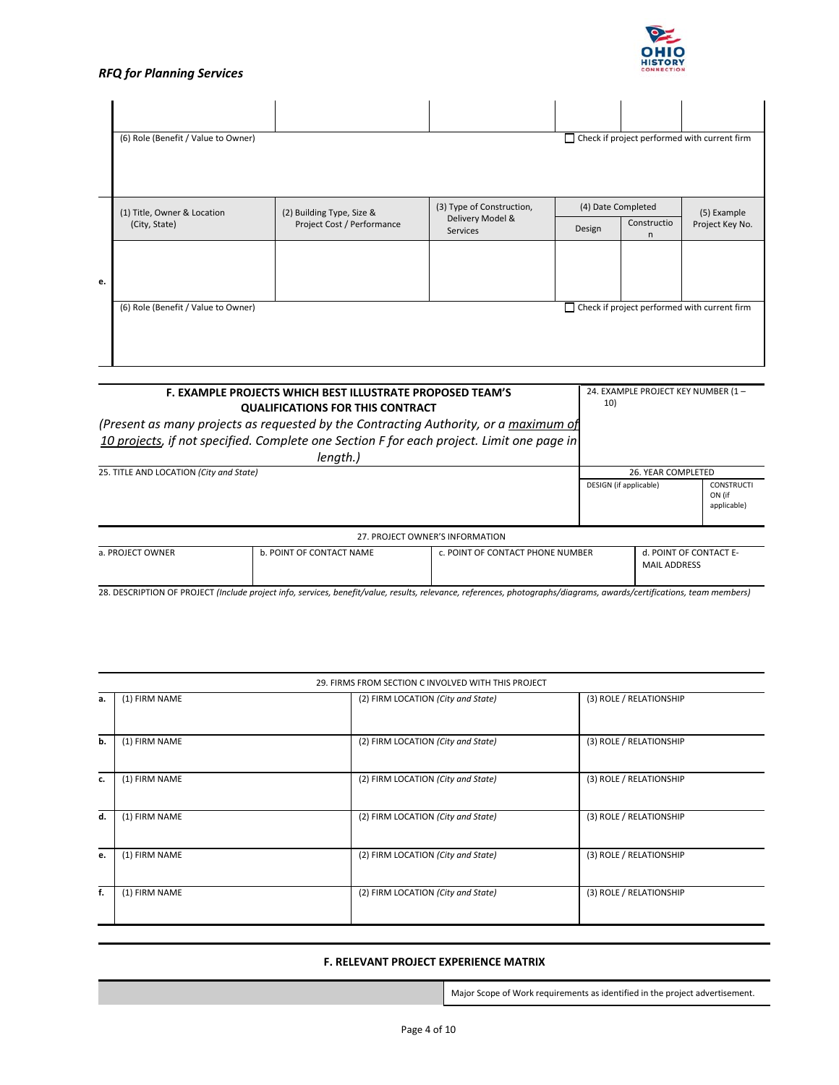# *RFQ for Planning Services*



|    | (6) Role (Benefit / Value to Owner)                                                        |                                                           |                           |                    |                 | $\Box$ Check if project performed with current firm |  |  |  |  |
|----|--------------------------------------------------------------------------------------------|-----------------------------------------------------------|---------------------------|--------------------|-----------------|-----------------------------------------------------|--|--|--|--|
|    | (1) Title, Owner & Location                                                                | (2) Building Type, Size &                                 | (3) Type of Construction, | (4) Date Completed |                 | (5) Example                                         |  |  |  |  |
|    | Delivery Model &<br>Project Cost / Performance<br>(City, State)<br><b>Services</b>         |                                                           | Design                    | Constructio<br>n   | Project Key No. |                                                     |  |  |  |  |
| e. |                                                                                            |                                                           |                           |                    |                 |                                                     |  |  |  |  |
|    | $\Box$ Check if project performed with current firm<br>(6) Role (Benefit / Value to Owner) |                                                           |                           |                    |                 |                                                     |  |  |  |  |
|    |                                                                                            |                                                           |                           |                    |                 |                                                     |  |  |  |  |
|    |                                                                                            | F. EXAMPLE PROJECTS WHICH BEST ILLUSTRATE PROPOSED TEAM'S |                           |                    |                 | 24. EXAMPLE PROJECT KEY NUMBER (1-                  |  |  |  |  |

| F. EAAIVIPLE PROJECTS WHICH DEST ILLOSTRATE PROPOSED TEAIVI S                             |                        |                                            |  |
|-------------------------------------------------------------------------------------------|------------------------|--------------------------------------------|--|
| <b>QUALIFICATIONS FOR THIS CONTRACT</b>                                                   | 10)                    |                                            |  |
| (Present as many projects as requested by the Contracting Authority, or a maximum of      |                        |                                            |  |
| 10 projects, if not specified. Complete one Section F for each project. Limit one page in |                        |                                            |  |
| lenath.)                                                                                  |                        |                                            |  |
| 25. TITLE AND LOCATION (City and State)                                                   | 26. YEAR COMPLETED     |                                            |  |
|                                                                                           | DESIGN (if applicable) | <b>CONSTRUCTI</b><br>ON (if<br>applicable) |  |

| 27. PROJECT OWNER'S INFORMATION |                          |                                  |                                               |  |  |  |  |
|---------------------------------|--------------------------|----------------------------------|-----------------------------------------------|--|--|--|--|
| a. PROJECT OWNER                | b. POINT OF CONTACT NAME | c. POINT OF CONTACT PHONE NUMBER | d. POINT OF CONTACT E-<br><b>MAIL ADDRESS</b> |  |  |  |  |

28. DESCRIPTION OF PROJECT *(Include project info, services, benefit/value, results, relevance, references, photographs/diagrams, awards/certifications, team members)* 

|    | 29. FIRMS FROM SECTION C INVOLVED WITH THIS PROJECT |                                    |                         |  |  |  |  |  |
|----|-----------------------------------------------------|------------------------------------|-------------------------|--|--|--|--|--|
| a. | (1) FIRM NAME                                       | (2) FIRM LOCATION (City and State) | (3) ROLE / RELATIONSHIP |  |  |  |  |  |
| b. | (1) FIRM NAME                                       | (2) FIRM LOCATION (City and State) | (3) ROLE / RELATIONSHIP |  |  |  |  |  |
| c. | (1) FIRM NAME                                       | (2) FIRM LOCATION (City and State) | (3) ROLE / RELATIONSHIP |  |  |  |  |  |
| d. | (1) FIRM NAME                                       | (2) FIRM LOCATION (City and State) | (3) ROLE / RELATIONSHIP |  |  |  |  |  |
| e. | (1) FIRM NAME                                       | (2) FIRM LOCATION (City and State) | (3) ROLE / RELATIONSHIP |  |  |  |  |  |
| f. | (1) FIRM NAME                                       | (2) FIRM LOCATION (City and State) | (3) ROLE / RELATIONSHIP |  |  |  |  |  |

#### **F. RELEVANT PROJECT EXPERIENCE MATRIX**

Major Scope of Work requirements as identified in the project advertisement.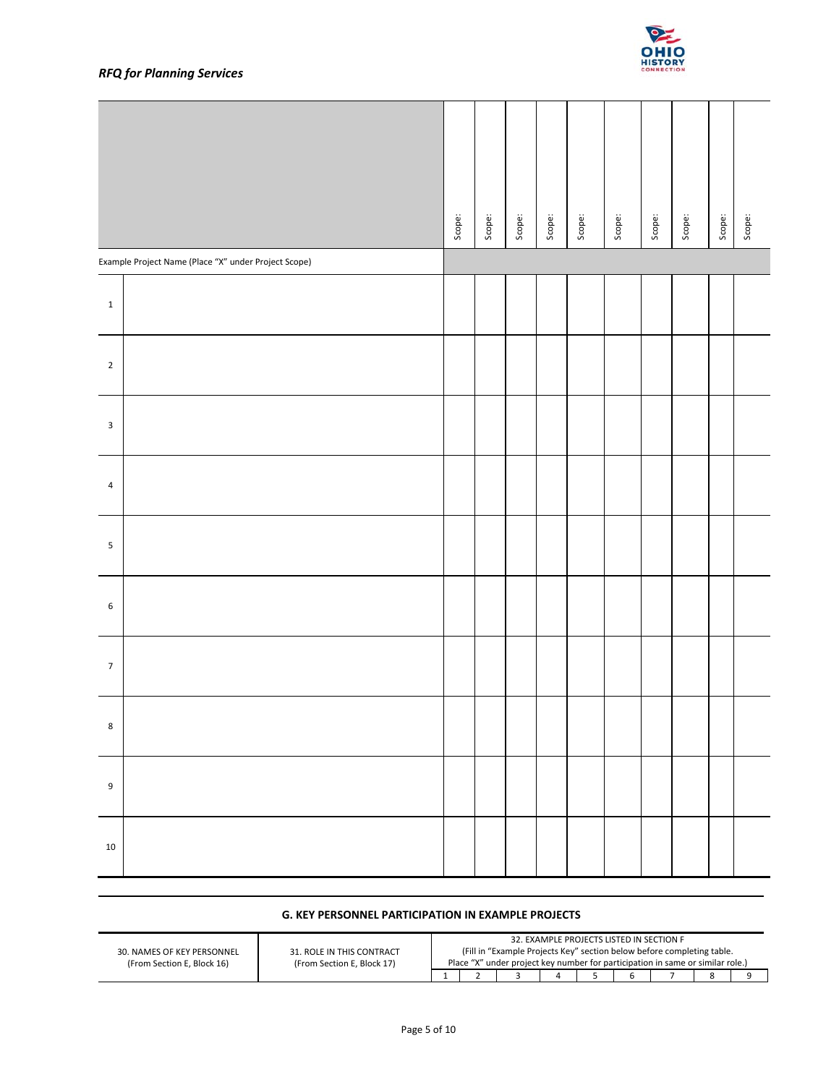

# *RFQ for Planning Services*

|                                                          |                                                         | Scope:       | Scope:         | Scope: | Scope:         | Scope: | Scope:                                        | Scope: | Scope:                                                                                                                                                                     | Scope: | Scope: |
|----------------------------------------------------------|---------------------------------------------------------|--------------|----------------|--------|----------------|--------|-----------------------------------------------|--------|----------------------------------------------------------------------------------------------------------------------------------------------------------------------------|--------|--------|
| Example Project Name (Place "X" under Project Scope)     |                                                         |              |                |        |                |        |                                               |        |                                                                                                                                                                            |        |        |
| $\mathbf 1$                                              |                                                         |              |                |        |                |        |                                               |        |                                                                                                                                                                            |        |        |
| $\overline{2}$                                           |                                                         |              |                |        |                |        |                                               |        |                                                                                                                                                                            |        |        |
| 3                                                        |                                                         |              |                |        |                |        |                                               |        |                                                                                                                                                                            |        |        |
| $\overline{\mathbf{4}}$                                  |                                                         |              |                |        |                |        |                                               |        |                                                                                                                                                                            |        |        |
| 5                                                        |                                                         |              |                |        |                |        |                                               |        |                                                                                                                                                                            |        |        |
| 6                                                        |                                                         |              |                |        |                |        |                                               |        |                                                                                                                                                                            |        |        |
| $\overline{7}$                                           |                                                         |              |                |        |                |        |                                               |        |                                                                                                                                                                            |        |        |
| 8                                                        |                                                         |              |                |        |                |        |                                               |        |                                                                                                                                                                            |        |        |
| 9                                                        |                                                         |              |                |        |                |        |                                               |        |                                                                                                                                                                            |        |        |
| 10                                                       |                                                         |              |                |        |                |        |                                               |        |                                                                                                                                                                            |        |        |
|                                                          | G. KEY PERSONNEL PARTICIPATION IN EXAMPLE PROJECTS      |              |                |        |                |        |                                               |        |                                                                                                                                                                            |        |        |
| 30. NAMES OF KEY PERSONNEL<br>(From Section E, Block 16) | 31. ROLE IN THIS CONTRACT<br>(From Section E, Block 17) | $\mathbf{1}$ | $\overline{2}$ | 3      | $\overline{4}$ | 5      | 32. EXAMPLE PROJECTS LISTED IN SECTION F<br>6 |        | (Fill in "Example Projects Key" section below before completing table.<br>Place "X" under project key number for participation in same or similar role.)<br>$\overline{7}$ | 8      | 9      |
|                                                          | Page 5 of 10                                            |              |                |        |                |        |                                               |        |                                                                                                                                                                            |        |        |

# **G. KEY PERSONNEL PARTICIPATION IN EXAMPLE PROJECTS**

|                            |                            | 32. EXAMPLE PROJECTS LISTED IN SECTION F                                       |  |  |  |  |  |                                                                        |  |  |
|----------------------------|----------------------------|--------------------------------------------------------------------------------|--|--|--|--|--|------------------------------------------------------------------------|--|--|
| 30. NAMES OF KEY PERSONNEL | 31. ROLE IN THIS CONTRACT  |                                                                                |  |  |  |  |  | (Fill in "Example Projects Key" section below before completing table. |  |  |
| (From Section E. Block 16) | (From Section E. Block 17) | Place "X" under project key number for participation in same or similar role.) |  |  |  |  |  |                                                                        |  |  |
|                            |                            |                                                                                |  |  |  |  |  |                                                                        |  |  |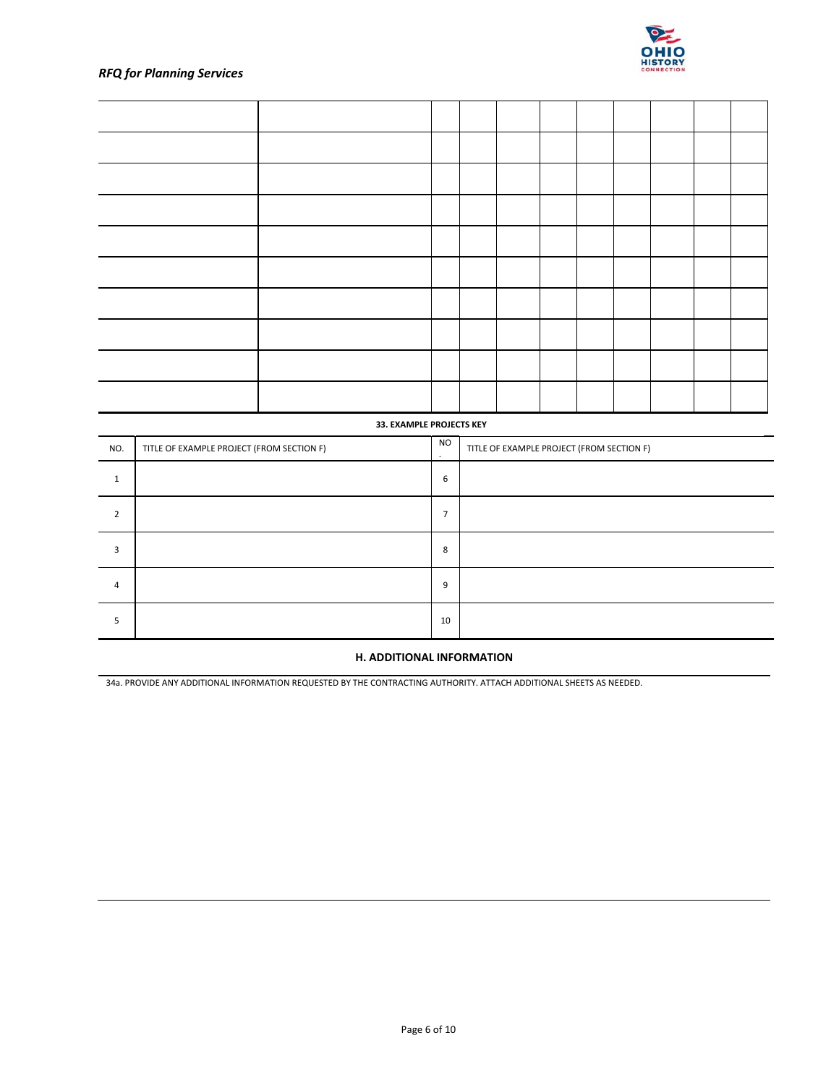

### **33. EXAMPLE PROJECTS KEY**

| NO. | TITLE OF EXAMPLE PROJECT (FROM SECTION F) | <b>NO</b><br>$\cdot$ | TITLE OF EXAMPLE PROJECT (FROM SECTION F) |
|-----|-------------------------------------------|----------------------|-------------------------------------------|
|     |                                           | 6                    |                                           |
| 2   |                                           | $\overline{ }$       |                                           |
| 3   |                                           | 8                    |                                           |
| 4   |                                           | 9                    |                                           |
| ╮   |                                           | 10                   |                                           |

## **H. ADDITIONAL INFORMATION**

34a. PROVIDE ANY ADDITIONAL INFORMATION REQUESTED BY THE CONTRACTING AUTHORITY. ATTACH ADDITIONAL SHEETS AS NEEDED.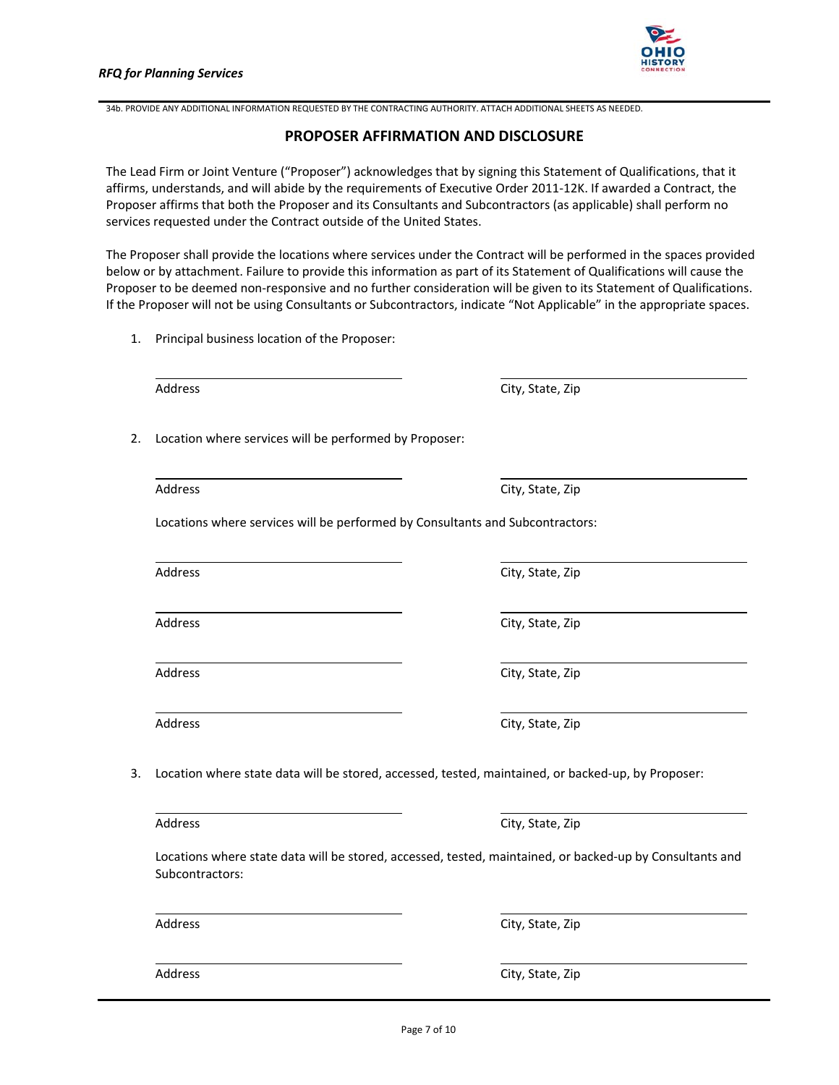

34b. PROVIDE ANY ADDITIONAL INFORMATION REQUESTED BY THE CONTRACTING AUTHORITY. ATTACH ADDITIONAL SHEETS AS NEEDED.

### **PROPOSER AFFIRMATION AND DISCLOSURE**

The Lead Firm or Joint Venture ("Proposer") acknowledges that by signing this Statement of Qualifications, that it affirms, understands, and will abide by the requirements of Executive Order 2011‐12K. If awarded a Contract, the Proposer affirms that both the Proposer and its Consultants and Subcontractors (as applicable) shall perform no services requested under the Contract outside of the United States.

The Proposer shall provide the locations where services under the Contract will be performed in the spaces provided below or by attachment. Failure to provide this information as part of its Statement of Qualifications will cause the Proposer to be deemed non‐responsive and no further consideration will be given to its Statement of Qualifications. If the Proposer will not be using Consultants or Subcontractors, indicate "Not Applicable" in the appropriate spaces.

1. Principal business location of the Proposer:

Address City, State, Zip

2. Location where services will be performed by Proposer:

Address City, State, Zip

Locations where services will be performed by Consultants and Subcontractors:

Address City, State, Zip

3. Location where state data will be stored, accessed, tested, maintained, or backed‐up, by Proposer:

Address City, State, Zip

Locations where state data will be stored, accessed, tested, maintained, or backed‐up by Consultants and Subcontractors:

Address **City**, State, Zip

Address City, State, Zip

Address City, State, Zip

Address City, State, Zip

Address City, State, Zip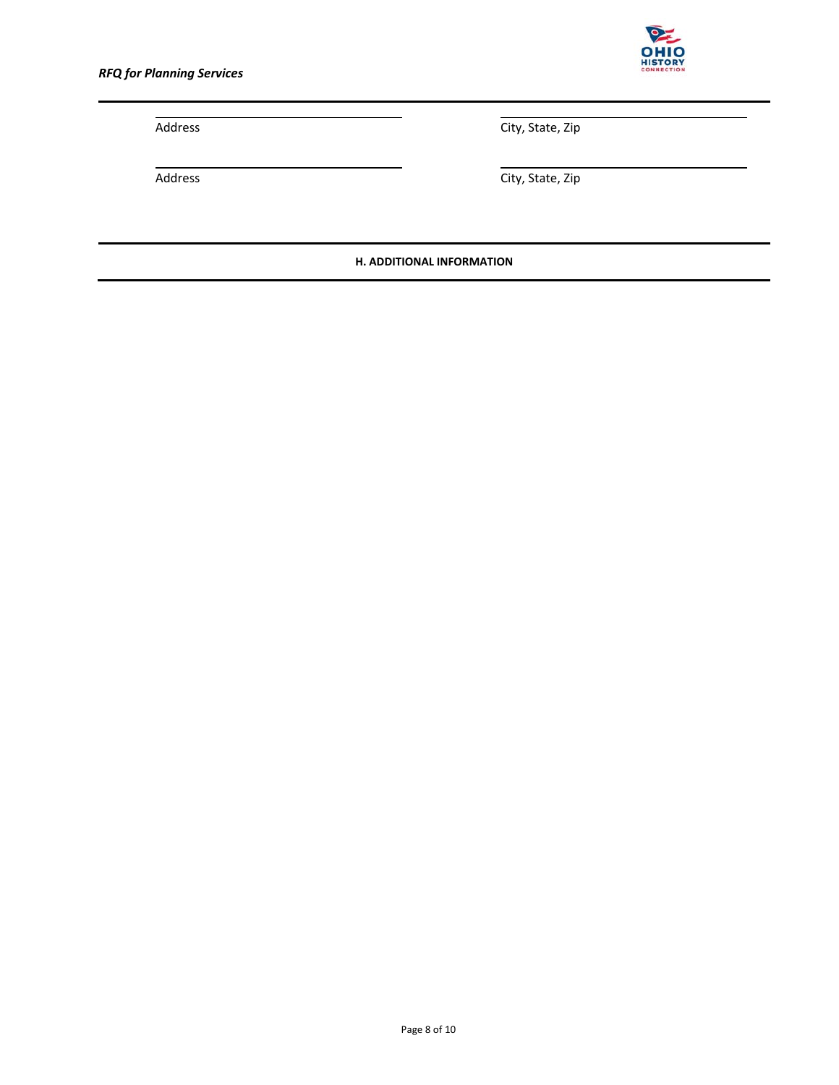

Address City, State, Zip

Address **City, State, Zip** 

**H. ADDITIONAL INFORMATION**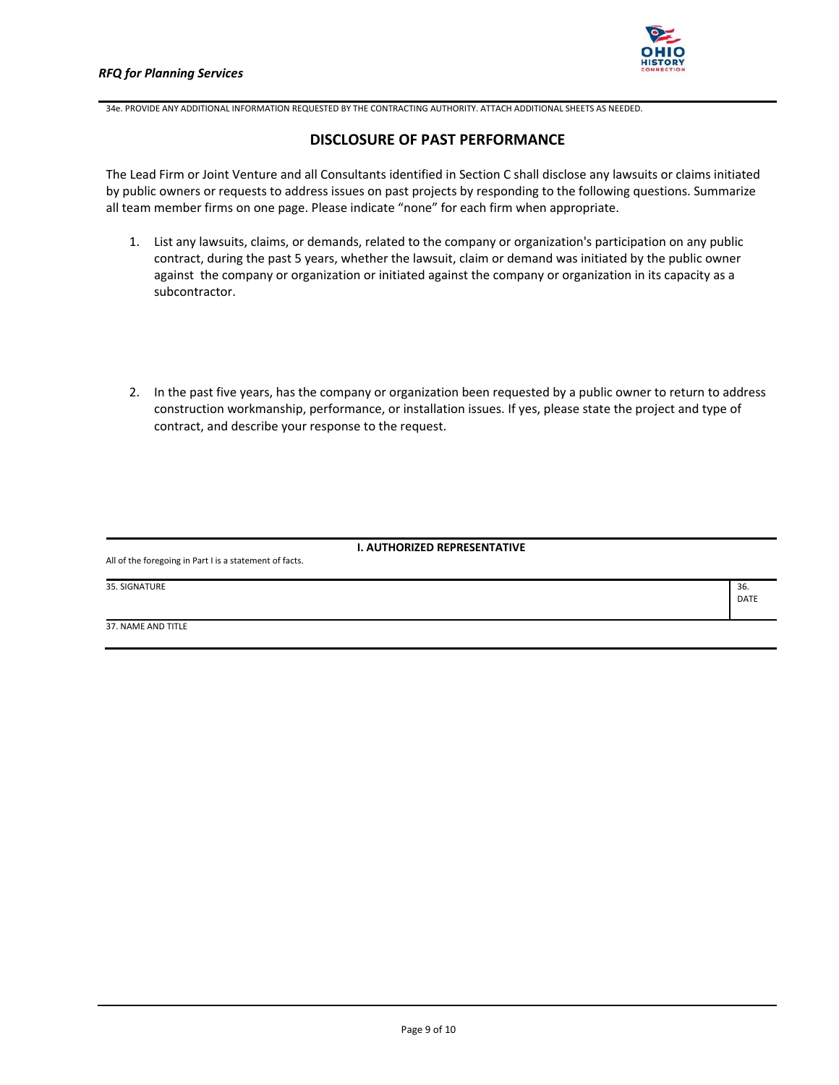

DATE

34e. PROVIDE ANY ADDITIONAL INFORMATION REQUESTED BY THE CONTRACTING AUTHORITY. ATTACH ADDITIONAL SHEETS AS NEEDED.

# **DISCLOSURE OF PAST PERFORMANCE**

The Lead Firm or Joint Venture and all Consultants identified in Section C shall disclose any lawsuits or claims initiated by public owners or requests to address issues on past projects by responding to the following questions. Summarize all team member firms on one page. Please indicate "none" for each firm when appropriate.

- 1. List any lawsuits, claims, or demands, related to the company or organization's participation on any public contract, during the past 5 years, whether the lawsuit, claim or demand was initiated by the public owner against the company or organization or initiated against the company or organization in its capacity as a subcontractor.
- 2. In the past five years, has the company or organization been requested by a public owner to return to address construction workmanship, performance, or installation issues. If yes, please state the project and type of contract, and describe your response to the request.

### **I. AUTHORIZED REPRESENTATIVE**

All of the foregoing in Part I is a statement of facts.

35. SIGNATURE 36.

37. NAME AND TITLE